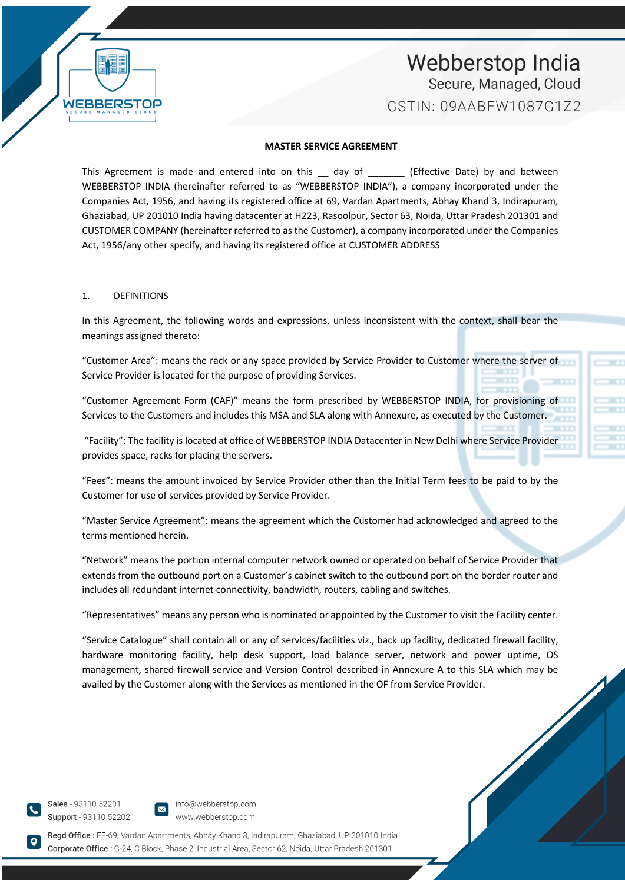#### **MASTER SERVICE AGREEMENT**

This Agreement is made and entered into on this \_\_ day of \_\_\_\_\_\_\_\_ (Effective Date) by and between WEBBERSTOP INDIA (hereinafter referred to as "WEBBERSTOP INDIA"), a company incorporated under the Companies Act, 1956, and having its registered office at 69, Vardan Apartments, Abhay Khand 3, Indirapuram, Ghaziabad, UP 201010 India having datacenter at H223, Rasoolpur, Sector 63, Noida, Uttar Pradesh 201301 and CUSTOMER COMPANY (hereinafter referred to as the Customer), a company incorporated under the Companies Act, 1956/any other specify, and having its registered office at CUSTOMER ADDRESS

#### 1. DEFINITIONS

WERRED

In this Agreement, the following words and expressions, unless inconsistent with the context, shall bear the meanings assigned thereto:

"Customer Area": means the rack or any space provided by Service Provider to Customer where the server of Service Provider is located for the purpose of providing Services.

"Customer Agreement Form (CAF)" means the form prescribed by WEBBERSTOP INDIA, for provisioning of Services to the Customers and includes this MSA and SLA along with Annexure, as executed by the Customer.

"Facility": The facility is located at office of WEBBERSTOP INDIA Datacenter in New Delhi where Service Provider provides space, racks for placing the servers.

"Fees": means the amount invoiced by Service Provider other than the Initial Term fees to be paid to by the Customer for use of services provided by Service Provider.

"Master Service Agreement": means the agreement which the Customer had acknowledged and agreed to the terms mentioned herein.

"Network" means the portion internal computer network owned or operated on behalf of Service Provider that extends from the outbound port on a Customer's cabinet switch to the outbound port on the border router and includes all redundant internet connectivity, bandwidth, routers, cabling and switches.

"Representatives" means any person who is nominated or appointed by the Customer to visit the Facility center.

"Service Catalogue" shall contain all or any of services/facilities viz., back up facility, dedicated firewall facility, hardware monitoring facility, help desk support, load balance server, network and power uptime, OS management, shared firewall service and Version Control described in Annexure A to this SLA which may be availed by the Customer along with the Services as mentioned in the OF from Service Provider.

Sales - 93110 52201 Support - 93110 52202

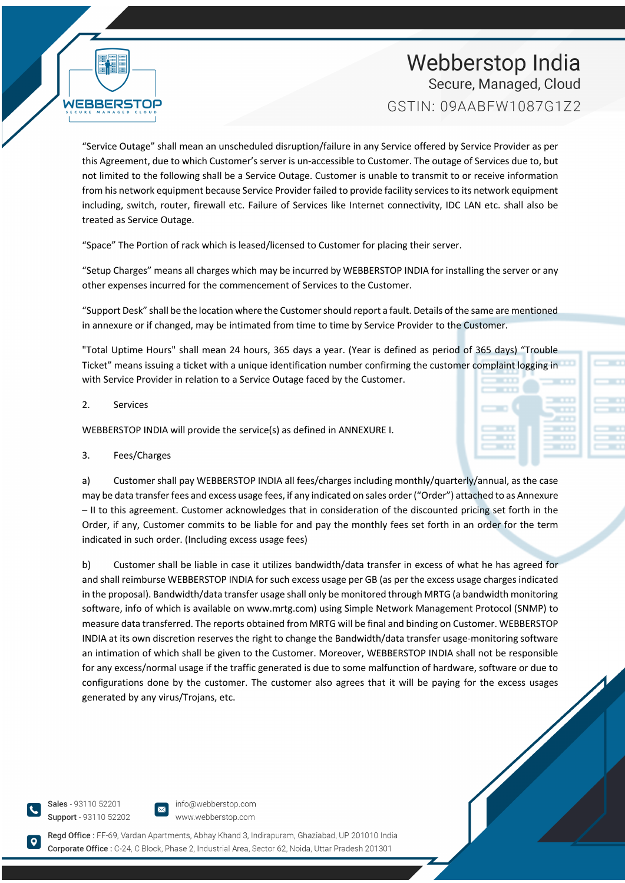"Service Outage" shall mean an unscheduled disruption/failure in any Service offered by Service Provider as per this Agreement, due to which Customer's server is un-accessible to Customer. The outage of Services due to, but not limited to the following shall be a Service Outage. Customer is unable to transmit to or receive information from his network equipment because Service Provider failed to provide facility services to its network equipment including, switch, router, firewall etc. Failure of Services like Internet connectivity, IDC LAN etc. shall also be treated as Service Outage.

"Space" The Portion of rack which is leased/licensed to Customer for placing their server.

"Setup Charges" means all charges which may be incurred by WEBBERSTOP INDIA for installing the server or any other expenses incurred for the commencement of Services to the Customer.

"Support Desk" shall be the location where the Customer should report a fault. Details of the same are mentioned in annexure or if changed, may be intimated from time to time by Service Provider to the Customer.

"Total Uptime Hours" shall mean 24 hours, 365 days a year. (Year is defined as period of 365 days) "Trouble Ticket" means issuing a ticket with a unique identification number confirming the customer complaint logging in with Service Provider in relation to a Service Outage faced by the Customer.

### 2. Services

WEBBERST

WEBBERSTOP INDIA will provide the service(s) as defined in ANNEXURE I.

## 3. Fees/Charges

a) Customer shall pay WEBBERSTOP INDIA all fees/charges including monthly/quarterly/annual, as the case may be data transfer fees and excess usage fees, if any indicated on sales order ("Order") attached to as Annexure – II to this agreement. Customer acknowledges that in consideration of the discounted pricing set forth in the Order, if any, Customer commits to be liable for and pay the monthly fees set forth in an order for the term indicated in such order. (Including excess usage fees)

b) Customer shall be liable in case it utilizes bandwidth/data transfer in excess of what he has agreed for and shall reimburse WEBBERSTOP INDIA for such excess usage per GB (as per the excess usage charges indicated in the proposal). Bandwidth/data transfer usage shall only be monitored through MRTG (a bandwidth monitoring software, info of which is available on www.mrtg.com) using Simple Network Management Protocol (SNMP) to measure data transferred. The reports obtained from MRTG will be final and binding on Customer. WEBBERSTOP INDIA at its own discretion reserves the right to change the Bandwidth/data transfer usage-monitoring software an intimation of which shall be given to the Customer. Moreover, WEBBERSTOP INDIA shall not be responsible for any excess/normal usage if the traffic generated is due to some malfunction of hardware, software or due to configurations done by the customer. The customer also agrees that it will be paying for the excess usages generated by any virus/Trojans, etc.

Sales - 93110 52201 Support - 93110 52202

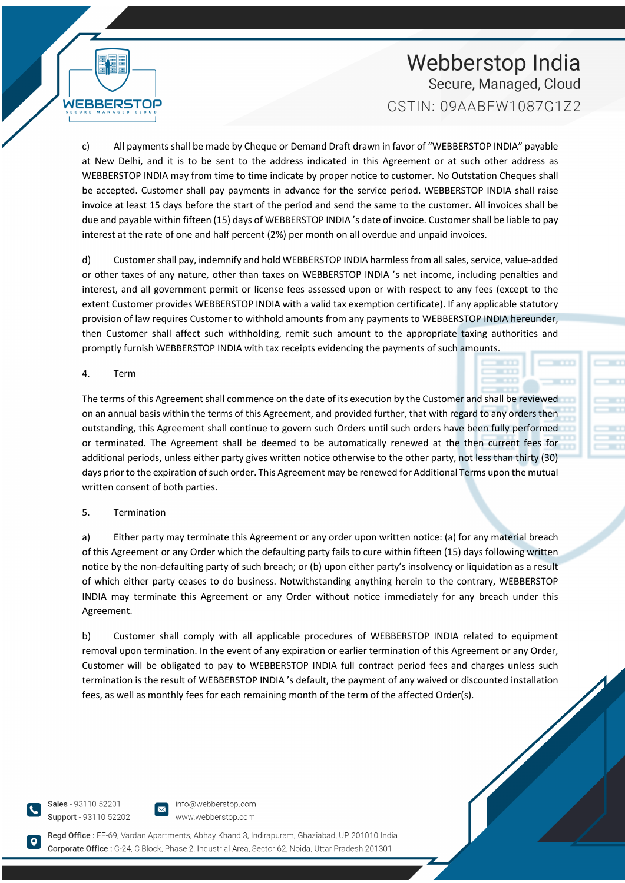c) All payments shall be made by Cheque or Demand Draft drawn in favor of "WEBBERSTOP INDIA" payable at New Delhi, and it is to be sent to the address indicated in this Agreement or at such other address as WEBBERSTOP INDIA may from time to time indicate by proper notice to customer. No Outstation Cheques shall be accepted. Customer shall pay payments in advance for the service period. WEBBERSTOP INDIA shall raise invoice at least 15 days before the start of the period and send the same to the customer. All invoices shall be due and payable within fifteen (15) days of WEBBERSTOP INDIA 's date of invoice. Customer shall be liable to pay interest at the rate of one and half percent (2%) per month on all overdue and unpaid invoices.

d) Customer shall pay, indemnify and hold WEBBERSTOP INDIA harmless from all sales, service, value-added or other taxes of any nature, other than taxes on WEBBERSTOP INDIA 's net income, including penalties and interest, and all government permit or license fees assessed upon or with respect to any fees (except to the extent Customer provides WEBBERSTOP INDIA with a valid tax exemption certificate). If any applicable statutory provision of law requires Customer to withhold amounts from any payments to WEBBERSTOP INDIA hereunder, then Customer shall affect such withholding, remit such amount to the appropriate taxing authorities and promptly furnish WEBBERSTOP INDIA with tax receipts evidencing the payments of such amounts.

4. Term

**WEBBERS** 

The terms of this Agreement shall commence on the date of its execution by the Customer and shall be reviewed on an annual basis within the terms of this Agreement, and provided further, that with regard to any orders then outstanding, this Agreement shall continue to govern such Orders until such orders have been fully performed or terminated. The Agreement shall be deemed to be automatically renewed at the then current fees for additional periods, unless either party gives written notice otherwise to the other party, not less than thirty (30) days prior to the expiration of such order. This Agreement may be renewed for Additional Terms upon the mutual written consent of both parties.

## 5. Termination

a) Either party may terminate this Agreement or any order upon written notice: (a) for any material breach of this Agreement or any Order which the defaulting party fails to cure within fifteen (15) days following written notice by the non-defaulting party of such breach; or (b) upon either party's insolvency or liquidation as a result of which either party ceases to do business. Notwithstanding anything herein to the contrary, WEBBERSTOP INDIA may terminate this Agreement or any Order without notice immediately for any breach under this Agreement.

b) Customer shall comply with all applicable procedures of WEBBERSTOP INDIA related to equipment removal upon termination. In the event of any expiration or earlier termination of this Agreement or any Order, Customer will be obligated to pay to WEBBERSTOP INDIA full contract period fees and charges unless such termination is the result of WEBBERSTOP INDIA 's default, the payment of any waived or discounted installation fees, as well as monthly fees for each remaining month of the term of the affected Order(s).

Sales - 93110 52201 Support - 93110 52202

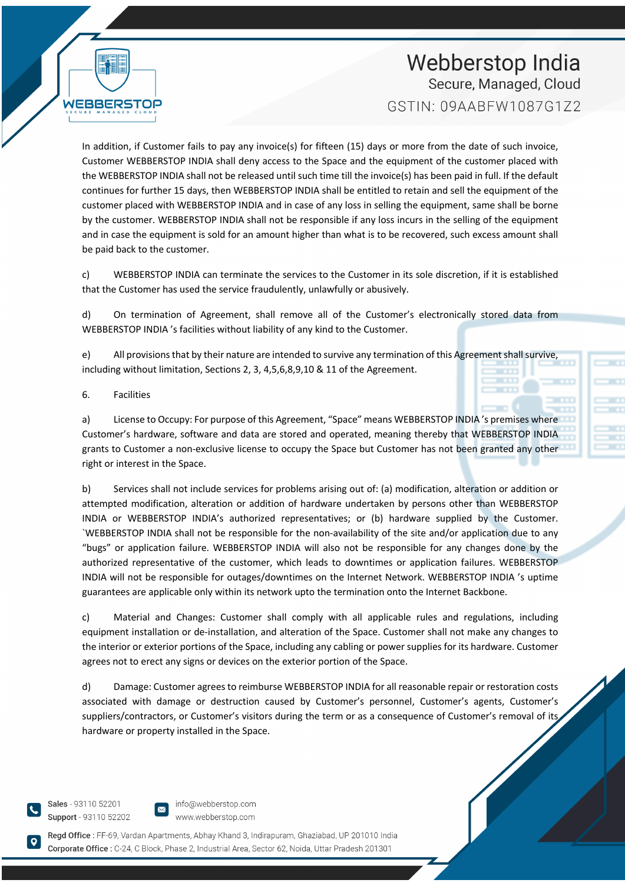In addition, if Customer fails to pay any invoice(s) for fifteen (15) days or more from the date of such invoice, Customer WEBBERSTOP INDIA shall deny access to the Space and the equipment of the customer placed with the WEBBERSTOP INDIA shall not be released until such time till the invoice(s) has been paid in full. If the default continues for further 15 days, then WEBBERSTOP INDIA shall be entitled to retain and sell the equipment of the customer placed with WEBBERSTOP INDIA and in case of any loss in selling the equipment, same shall be borne by the customer. WEBBERSTOP INDIA shall not be responsible if any loss incurs in the selling of the equipment and in case the equipment is sold for an amount higher than what is to be recovered, such excess amount shall be paid back to the customer.

c) WEBBERSTOP INDIA can terminate the services to the Customer in its sole discretion, if it is established that the Customer has used the service fraudulently, unlawfully or abusively.

d) On termination of Agreement, shall remove all of the Customer's electronically stored data from WEBBERSTOP INDIA 's facilities without liability of any kind to the Customer.

e) All provisions that by their nature are intended to survive any termination of this Agreement shall survive, including without limitation, Sections 2, 3, 4,5,6,8,9,10 & 11 of the Agreement.

#### 6. Facilities

WEBBERS

a) License to Occupy: For purpose of this Agreement, "Space" means WEBBERSTOP INDIA 's premises where Customer's hardware, software and data are stored and operated, meaning thereby that WEBBERSTOP INDIA grants to Customer a non-exclusive license to occupy the Space but Customer has not been granted any other right or interest in the Space.

b) Services shall not include services for problems arising out of: (a) modification, alteration or addition or attempted modification, alteration or addition of hardware undertaken by persons other than WEBBERSTOP INDIA or WEBBERSTOP INDIA's authorized representatives; or (b) hardware supplied by the Customer. `WEBBERSTOP INDIA shall not be responsible for the non-availability of the site and/or application due to any "bugs" or application failure. WEBBERSTOP INDIA will also not be responsible for any changes done by the authorized representative of the customer, which leads to downtimes or application failures. WEBBERSTOP INDIA will not be responsible for outages/downtimes on the Internet Network. WEBBERSTOP INDIA 's uptime guarantees are applicable only within its network upto the termination onto the Internet Backbone.

c) Material and Changes: Customer shall comply with all applicable rules and regulations, including equipment installation or de-installation, and alteration of the Space. Customer shall not make any changes to the interior or exterior portions of the Space, including any cabling or power supplies for its hardware. Customer agrees not to erect any signs or devices on the exterior portion of the Space.

d) Damage: Customer agrees to reimburse WEBBERSTOP INDIA for all reasonable repair or restoration costs associated with damage or destruction caused by Customer's personnel, Customer's agents, Customer's suppliers/contractors, or Customer's visitors during the term or as a consequence of Customer's removal of its hardware or property installed in the Space.

Sales - 93110 52201 Support - 93110 52202

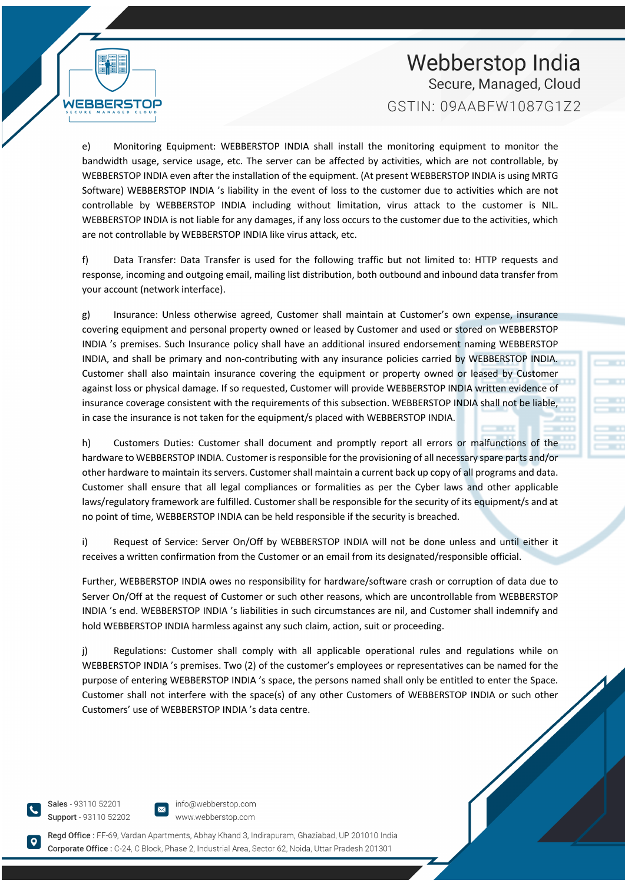

e) Monitoring Equipment: WEBBERSTOP INDIA shall install the monitoring equipment to monitor the bandwidth usage, service usage, etc. The server can be affected by activities, which are not controllable, by WEBBERSTOP INDIA even after the installation of the equipment. (At present WEBBERSTOP INDIA is using MRTG Software) WEBBERSTOP INDIA 's liability in the event of loss to the customer due to activities which are not controllable by WEBBERSTOP INDIA including without limitation, virus attack to the customer is NIL. WEBBERSTOP INDIA is not liable for any damages, if any loss occurs to the customer due to the activities, which are not controllable by WEBBERSTOP INDIA like virus attack, etc.

f) Data Transfer: Data Transfer is used for the following traffic but not limited to: HTTP requests and response, incoming and outgoing email, mailing list distribution, both outbound and inbound data transfer from your account (network interface).

g) Insurance: Unless otherwise agreed, Customer shall maintain at Customer's own expense, insurance covering equipment and personal property owned or leased by Customer and used or stored on WEBBERSTOP INDIA 's premises. Such Insurance policy shall have an additional insured endorsement naming WEBBERSTOP INDIA, and shall be primary and non-contributing with any insurance policies carried by WEBBERSTOP INDIA. Customer shall also maintain insurance covering the equipment or property owned or leased by Customer against loss or physical damage. If so requested, Customer will provide WEBBERSTOP INDIA written evidence of insurance coverage consistent with the requirements of this subsection. WEBBERSTOP INDIA shall not be liable, in case the insurance is not taken for the equipment/s placed with WEBBERSTOP INDIA.

h) Customers Duties: Customer shall document and promptly report all errors or malfunctions of the hardware to WEBBERSTOP INDIA. Customer is responsible for the provisioning of all necessary spare parts and/or other hardware to maintain its servers. Customer shall maintain a current back up copy of all programs and data. Customer shall ensure that all legal compliances or formalities as per the Cyber laws and other applicable laws/regulatory framework are fulfilled. Customer shall be responsible for the security of its equipment/s and at no point of time, WEBBERSTOP INDIA can be held responsible if the security is breached.

i) Request of Service: Server On/Off by WEBBERSTOP INDIA will not be done unless and until either it receives a written confirmation from the Customer or an email from its designated/responsible official.

Further, WEBBERSTOP INDIA owes no responsibility for hardware/software crash or corruption of data due to Server On/Off at the request of Customer or such other reasons, which are uncontrollable from WEBBERSTOP INDIA 's end. WEBBERSTOP INDIA 's liabilities in such circumstances are nil, and Customer shall indemnify and hold WEBBERSTOP INDIA harmless against any such claim, action, suit or proceeding.

j) Regulations: Customer shall comply with all applicable operational rules and regulations while on WEBBERSTOP INDIA 's premises. Two (2) of the customer's employees or representatives can be named for the purpose of entering WEBBERSTOP INDIA 's space, the persons named shall only be entitled to enter the Space. Customer shall not interfere with the space(s) of any other Customers of WEBBERSTOP INDIA or such other Customers' use of WEBBERSTOP INDIA 's data centre.

Sales - 93110 52201 Support - 93110 52202

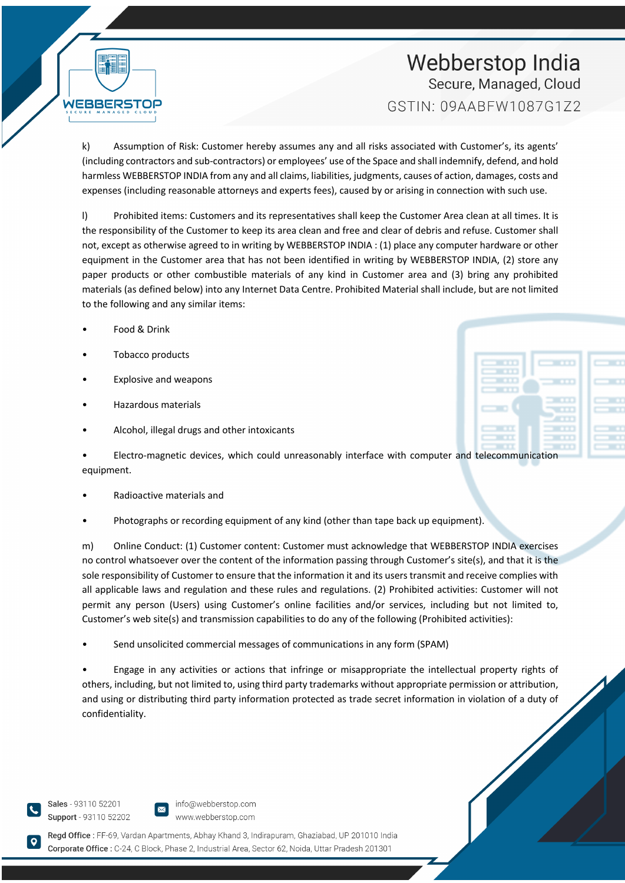k) Assumption of Risk: Customer hereby assumes any and all risks associated with Customer's, its agents' (including contractors and sub-contractors) or employees' use of the Space and shall indemnify, defend, and hold harmless WEBBERSTOP INDIA from any and all claims, liabilities, judgments, causes of action, damages, costs and expenses (including reasonable attorneys and experts fees), caused by or arising in connection with such use.

l) Prohibited items: Customers and its representatives shall keep the Customer Area clean at all times. It is the responsibility of the Customer to keep its area clean and free and clear of debris and refuse. Customer shall not, except as otherwise agreed to in writing by WEBBERSTOP INDIA : (1) place any computer hardware or other equipment in the Customer area that has not been identified in writing by WEBBERSTOP INDIA, (2) store any paper products or other combustible materials of any kind in Customer area and (3) bring any prohibited materials (as defined below) into any Internet Data Centre. Prohibited Material shall include, but are not limited to the following and any similar items:

• Food & Drink

WEBBERST

- Tobacco products
- Explosive and weapons
- Hazardous materials
- Alcohol, illegal drugs and other intoxicants

• Electro-magnetic devices, which could unreasonably interface with computer and telecommunication equipment.

- Radioactive materials and
- Photographs or recording equipment of any kind (other than tape back up equipment).

m) Online Conduct: (1) Customer content: Customer must acknowledge that WEBBERSTOP INDIA exercises no control whatsoever over the content of the information passing through Customer's site(s), and that it is the sole responsibility of Customer to ensure that the information it and its users transmit and receive complies with all applicable laws and regulation and these rules and regulations. (2) Prohibited activities: Customer will not permit any person (Users) using Customer's online facilities and/or services, including but not limited to, Customer's web site(s) and transmission capabilities to do any of the following (Prohibited activities):

• Send unsolicited commercial messages of communications in any form (SPAM)

• Engage in any activities or actions that infringe or misappropriate the intellectual property rights of others, including, but not limited to, using third party trademarks without appropriate permission or attribution, and using or distributing third party information protected as trade secret information in violation of a duty of confidentiality.

Sales - 93110 52201 Support - 93110 52202

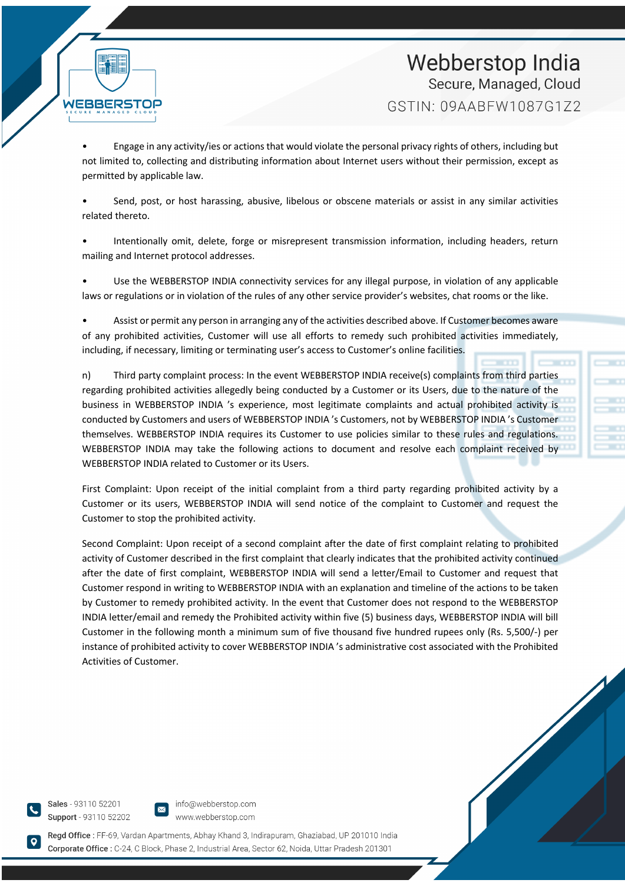

• Engage in any activity/ies or actions that would violate the personal privacy rights of others, including but not limited to, collecting and distributing information about Internet users without their permission, except as permitted by applicable law.

• Send, post, or host harassing, abusive, libelous or obscene materials or assist in any similar activities related thereto.

• Intentionally omit, delete, forge or misrepresent transmission information, including headers, return mailing and Internet protocol addresses.

Use the WEBBERSTOP INDIA connectivity services for any illegal purpose, in violation of any applicable laws or regulations or in violation of the rules of any other service provider's websites, chat rooms or the like.

• Assist or permit any person in arranging any of the activities described above. If Customer becomes aware of any prohibited activities, Customer will use all efforts to remedy such prohibited activities immediately, including, if necessary, limiting or terminating user's access to Customer's online facilities.

n) Third party complaint process: In the event WEBBERSTOP INDIA receive(s) complaints from third parties regarding prohibited activities allegedly being conducted by a Customer or its Users, due to the nature of the business in WEBBERSTOP INDIA 's experience, most legitimate complaints and actual prohibited activity is conducted by Customers and users of WEBBERSTOP INDIA 's Customers, not by WEBBERSTOP INDIA 's Customer themselves. WEBBERSTOP INDIA requires its Customer to use policies similar to these rules and regulations. WEBBERSTOP INDIA may take the following actions to document and resolve each complaint received by WEBBERSTOP INDIA related to Customer or its Users.

First Complaint: Upon receipt of the initial complaint from a third party regarding prohibited activity by a Customer or its users, WEBBERSTOP INDIA will send notice of the complaint to Customer and request the Customer to stop the prohibited activity.

Second Complaint: Upon receipt of a second complaint after the date of first complaint relating to prohibited activity of Customer described in the first complaint that clearly indicates that the prohibited activity continued after the date of first complaint, WEBBERSTOP INDIA will send a letter/Email to Customer and request that Customer respond in writing to WEBBERSTOP INDIA with an explanation and timeline of the actions to be taken by Customer to remedy prohibited activity. In the event that Customer does not respond to the WEBBERSTOP INDIA letter/email and remedy the Prohibited activity within five (5) business days, WEBBERSTOP INDIA will bill Customer in the following month a minimum sum of five thousand five hundred rupees only (Rs. 5,500/-) per instance of prohibited activity to cover WEBBERSTOP INDIA 's administrative cost associated with the Prohibited Activities of Customer.

Sales - 93110 52201 Support - 93110 52202

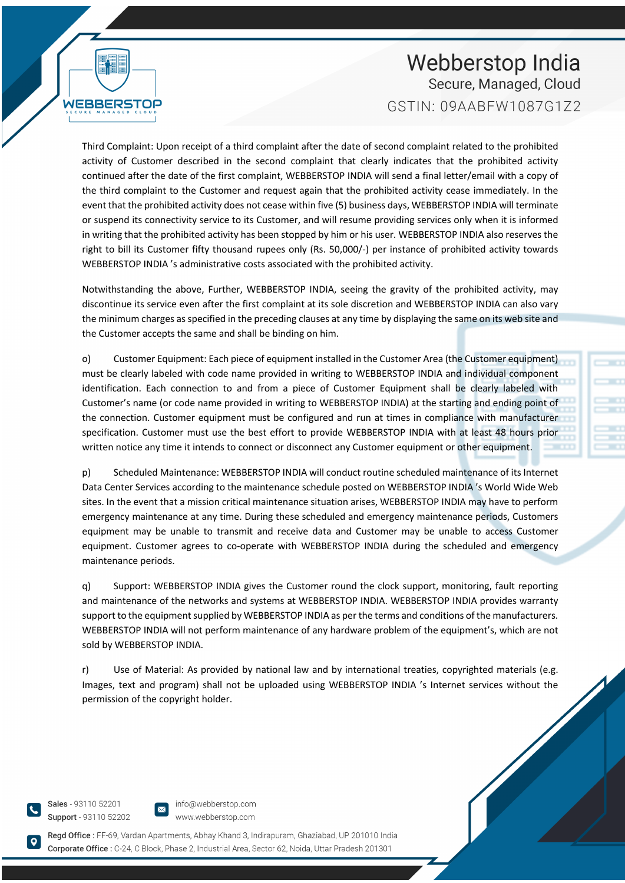WEBBERS

Third Complaint: Upon receipt of a third complaint after the date of second complaint related to the prohibited activity of Customer described in the second complaint that clearly indicates that the prohibited activity continued after the date of the first complaint, WEBBERSTOP INDIA will send a final letter/email with a copy of the third complaint to the Customer and request again that the prohibited activity cease immediately. In the event that the prohibited activity does not cease within five (5) business days, WEBBERSTOP INDIA will terminate or suspend its connectivity service to its Customer, and will resume providing services only when it is informed in writing that the prohibited activity has been stopped by him or his user. WEBBERSTOP INDIA also reserves the right to bill its Customer fifty thousand rupees only (Rs. 50,000/-) per instance of prohibited activity towards WEBBERSTOP INDIA 's administrative costs associated with the prohibited activity.

Notwithstanding the above, Further, WEBBERSTOP INDIA, seeing the gravity of the prohibited activity, may discontinue its service even after the first complaint at its sole discretion and WEBBERSTOP INDIA can also vary the minimum charges as specified in the preceding clauses at any time by displaying the same on its web site and the Customer accepts the same and shall be binding on him.

o) Customer Equipment: Each piece of equipment installed in the Customer Area (the Customer equipment) must be clearly labeled with code name provided in writing to WEBBERSTOP INDIA and individual component identification. Each connection to and from a piece of Customer Equipment shall be clearly labeled with Customer's name (or code name provided in writing to WEBBERSTOP INDIA) at the starting and ending point of the connection. Customer equipment must be configured and run at times in compliance with manufacturer specification. Customer must use the best effort to provide WEBBERSTOP INDIA with at least 48 hours prior written notice any time it intends to connect or disconnect any Customer equipment or other equipment.

p) Scheduled Maintenance: WEBBERSTOP INDIA will conduct routine scheduled maintenance of its Internet Data Center Services according to the maintenance schedule posted on WEBBERSTOP INDIA 's World Wide Web sites. In the event that a mission critical maintenance situation arises, WEBBERSTOP INDIA may have to perform emergency maintenance at any time. During these scheduled and emergency maintenance periods, Customers equipment may be unable to transmit and receive data and Customer may be unable to access Customer equipment. Customer agrees to co-operate with WEBBERSTOP INDIA during the scheduled and emergency maintenance periods.

q) Support: WEBBERSTOP INDIA gives the Customer round the clock support, monitoring, fault reporting and maintenance of the networks and systems at WEBBERSTOP INDIA. WEBBERSTOP INDIA provides warranty support to the equipment supplied by WEBBERSTOP INDIA as per the terms and conditions of the manufacturers. WEBBERSTOP INDIA will not perform maintenance of any hardware problem of the equipment's, which are not sold by WEBBERSTOP INDIA.

r) Use of Material: As provided by national law and by international treaties, copyrighted materials (e.g. Images, text and program) shall not be uploaded using WEBBERSTOP INDIA 's Internet services without the permission of the copyright holder.

Sales - 93110 52201 Support - 93110 52202

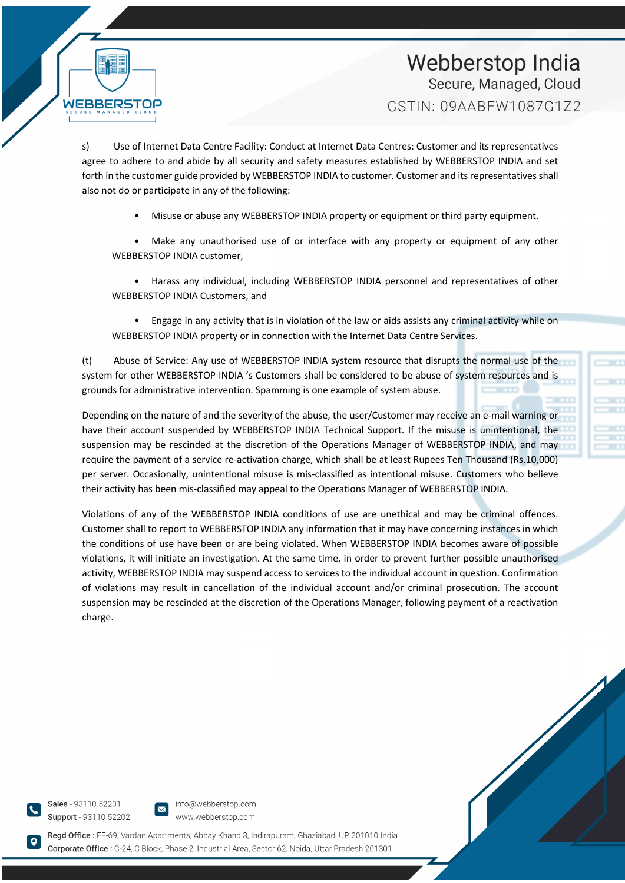s) Use of Internet Data Centre Facility: Conduct at Internet Data Centres: Customer and its representatives agree to adhere to and abide by all security and safety measures established by WEBBERSTOP INDIA and set forth in the customer guide provided by WEBBERSTOP INDIA to customer. Customer and its representatives shall also not do or participate in any of the following:

• Misuse or abuse any WEBBERSTOP INDIA property or equipment or third party equipment.

Make any unauthorised use of or interface with any property or equipment of any other WEBBERSTOP INDIA customer,

• Harass any individual, including WEBBERSTOP INDIA personnel and representatives of other WEBBERSTOP INDIA Customers, and

• Engage in any activity that is in violation of the law or aids assists any criminal activity while on WEBBERSTOP INDIA property or in connection with the Internet Data Centre Services.

(t) Abuse of Service: Any use of WEBBERSTOP INDIA system resource that disrupts the normal use of the system for other WEBBERSTOP INDIA 's Customers shall be considered to be abuse of system resources and is grounds for administrative intervention. Spamming is one example of system abuse.

Depending on the nature of and the severity of the abuse, the user/Customer may receive an e-mail warning or have their account suspended by WEBBERSTOP INDIA Technical Support. If the misuse is unintentional, the suspension may be rescinded at the discretion of the Operations Manager of WEBBERSTOP INDIA, and may require the payment of a service re-activation charge, which shall be at least Rupees Ten Thousand (Rs.10,000) per server. Occasionally, unintentional misuse is mis-classified as intentional misuse. Customers who believe their activity has been mis-classified may appeal to the Operations Manager of WEBBERSTOP INDIA.

Violations of any of the WEBBERSTOP INDIA conditions of use are unethical and may be criminal offences. Customer shall to report to WEBBERSTOP INDIA any information that it may have concerning instances in which the conditions of use have been or are being violated. When WEBBERSTOP INDIA becomes aware of possible violations, it will initiate an investigation. At the same time, in order to prevent further possible unauthorised activity, WEBBERSTOP INDIA may suspend access to services to the individual account in question. Confirmation of violations may result in cancellation of the individual account and/or criminal prosecution. The account suspension may be rescinded at the discretion of the Operations Manager, following payment of a reactivation charge.

Sales - 93110 52201 Support - 93110 52202

WEBBERS

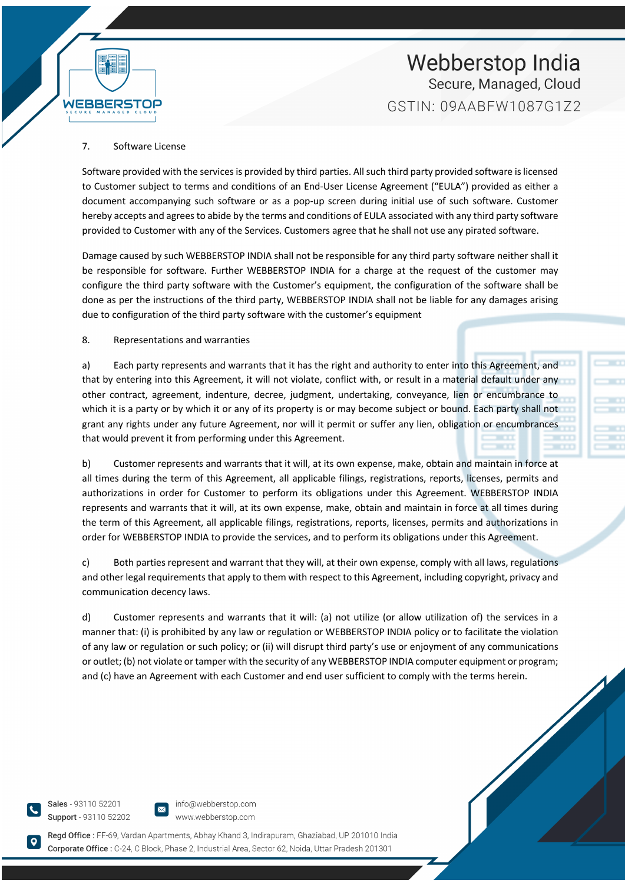#### 7. Software License

WEBBER!

Software provided with the services is provided by third parties. All such third party provided software is licensed to Customer subject to terms and conditions of an End-User License Agreement ("EULA") provided as either a document accompanying such software or as a pop-up screen during initial use of such software. Customer hereby accepts and agrees to abide by the terms and conditions of EULA associated with any third party software provided to Customer with any of the Services. Customers agree that he shall not use any pirated software.

Damage caused by such WEBBERSTOP INDIA shall not be responsible for any third party software neither shall it be responsible for software. Further WEBBERSTOP INDIA for a charge at the request of the customer may configure the third party software with the Customer's equipment, the configuration of the software shall be done as per the instructions of the third party, WEBBERSTOP INDIA shall not be liable for any damages arising due to configuration of the third party software with the customer's equipment

#### 8. Representations and warranties

a) Each party represents and warrants that it has the right and authority to enter into this Agreement, and that by entering into this Agreement, it will not violate, conflict with, or result in a material default under any other contract, agreement, indenture, decree, judgment, undertaking, conveyance, lien or encumbrance to which it is a party or by which it or any of its property is or may become subject or bound. Each party shall not grant any rights under any future Agreement, nor will it permit or suffer any lien, obligation or encumbrances that would prevent it from performing under this Agreement.

b) Customer represents and warrants that it will, at its own expense, make, obtain and maintain in force at all times during the term of this Agreement, all applicable filings, registrations, reports, licenses, permits and authorizations in order for Customer to perform its obligations under this Agreement. WEBBERSTOP INDIA represents and warrants that it will, at its own expense, make, obtain and maintain in force at all times during the term of this Agreement, all applicable filings, registrations, reports, licenses, permits and authorizations in order for WEBBERSTOP INDIA to provide the services, and to perform its obligations under this Agreement.

c) Both parties represent and warrant that they will, at their own expense, comply with all laws, regulations and other legal requirements that apply to them with respect to this Agreement, including copyright, privacy and communication decency laws.

d) Customer represents and warrants that it will: (a) not utilize (or allow utilization of) the services in a manner that: (i) is prohibited by any law or regulation or WEBBERSTOP INDIA policy or to facilitate the violation of any law or regulation or such policy; or (ii) will disrupt third party's use or enjoyment of any communications or outlet; (b) not violate or tamper with the security of any WEBBERSTOP INDIA computer equipment or program; and (c) have an Agreement with each Customer and end user sufficient to comply with the terms herein.

Sales - 93110 52201 Support - 93110 52202

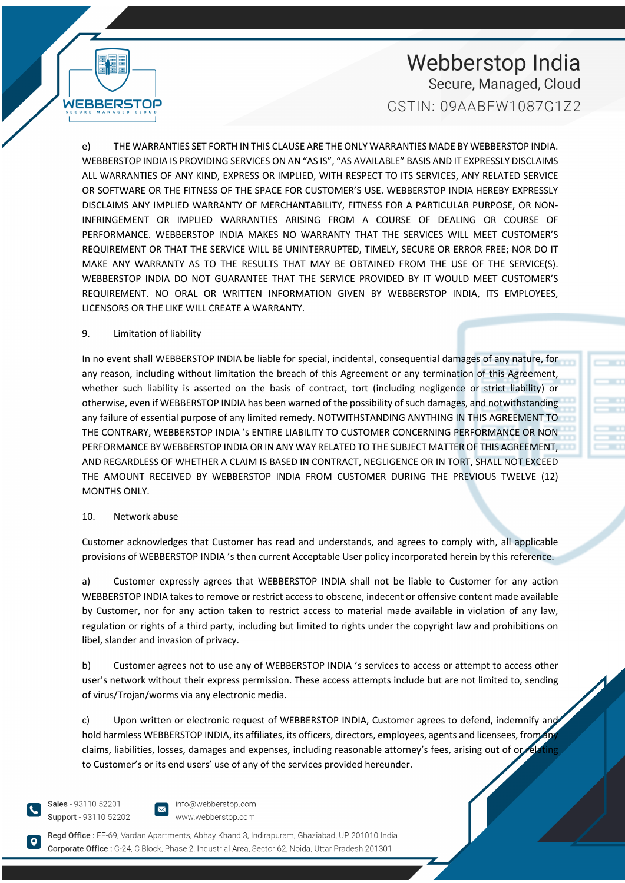

e) THE WARRANTIES SET FORTH IN THIS CLAUSE ARE THE ONLY WARRANTIES MADE BY WEBBERSTOP INDIA. WEBBERSTOP INDIA IS PROVIDING SERVICES ON AN "AS IS", "AS AVAILABLE" BASIS AND IT EXPRESSLY DISCLAIMS ALL WARRANTIES OF ANY KIND, EXPRESS OR IMPLIED, WITH RESPECT TO ITS SERVICES, ANY RELATED SERVICE OR SOFTWARE OR THE FITNESS OF THE SPACE FOR CUSTOMER'S USE. WEBBERSTOP INDIA HEREBY EXPRESSLY DISCLAIMS ANY IMPLIED WARRANTY OF MERCHANTABILITY, FITNESS FOR A PARTICULAR PURPOSE, OR NON-INFRINGEMENT OR IMPLIED WARRANTIES ARISING FROM A COURSE OF DEALING OR COURSE OF PERFORMANCE. WEBBERSTOP INDIA MAKES NO WARRANTY THAT THE SERVICES WILL MEET CUSTOMER'S REQUIREMENT OR THAT THE SERVICE WILL BE UNINTERRUPTED, TIMELY, SECURE OR ERROR FREE; NOR DO IT MAKE ANY WARRANTY AS TO THE RESULTS THAT MAY BE OBTAINED FROM THE USE OF THE SERVICE(S). WEBBERSTOP INDIA DO NOT GUARANTEE THAT THE SERVICE PROVIDED BY IT WOULD MEET CUSTOMER'S REQUIREMENT. NO ORAL OR WRITTEN INFORMATION GIVEN BY WEBBERSTOP INDIA, ITS EMPLOYEES, LICENSORS OR THE LIKE WILL CREATE A WARRANTY.

#### 9. Limitation of liability

WEBBERSTOP

In no event shall WEBBERSTOP INDIA be liable for special, incidental, consequential damages of any nature, for any reason, including without limitation the breach of this Agreement or any termination of this Agreement, whether such liability is asserted on the basis of contract, tort (including negligence or strict liability) or otherwise, even if WEBBERSTOP INDIA has been warned of the possibility of such damages, and notwithstanding any failure of essential purpose of any limited remedy. NOTWITHSTANDING ANYTHING IN THIS AGREEMENT TO THE CONTRARY, WEBBERSTOP INDIA 's ENTIRE LIABILITY TO CUSTOMER CONCERNING PERFORMANCE OR NON PERFORMANCE BY WEBBERSTOP INDIA OR IN ANY WAY RELATED TO THE SUBJECT MATTER OF THIS AGREEMENT, AND REGARDLESS OF WHETHER A CLAIM IS BASED IN CONTRACT, NEGLIGENCE OR IN TORT, SHALL NOT EXCEED THE AMOUNT RECEIVED BY WEBBERSTOP INDIA FROM CUSTOMER DURING THE PREVIOUS TWELVE (12) MONTHS ONLY.

#### 10. Network abuse

Customer acknowledges that Customer has read and understands, and agrees to comply with, all applicable provisions of WEBBERSTOP INDIA 's then current Acceptable User policy incorporated herein by this reference.

a) Customer expressly agrees that WEBBERSTOP INDIA shall not be liable to Customer for any action WEBBERSTOP INDIA takes to remove or restrict access to obscene, indecent or offensive content made available by Customer, nor for any action taken to restrict access to material made available in violation of any law, regulation or rights of a third party, including but limited to rights under the copyright law and prohibitions on libel, slander and invasion of privacy.

b) Customer agrees not to use any of WEBBERSTOP INDIA 's services to access or attempt to access other user's network without their express permission. These access attempts include but are not limited to, sending of virus/Trojan/worms via any electronic media.

c) Upon written or electronic request of WEBBERSTOP INDIA, Customer agrees to defend, indemnify and hold harmless WEBBERSTOP INDIA, its affiliates, its officers, directors, employees, agents and licensees, from an claims, liabilities, losses, damages and expenses, including reasonable attorney's fees, arising out of or to Customer's or its end users' use of any of the services provided hereunder.

Sales - 93110 52201 Support - 93110 52202

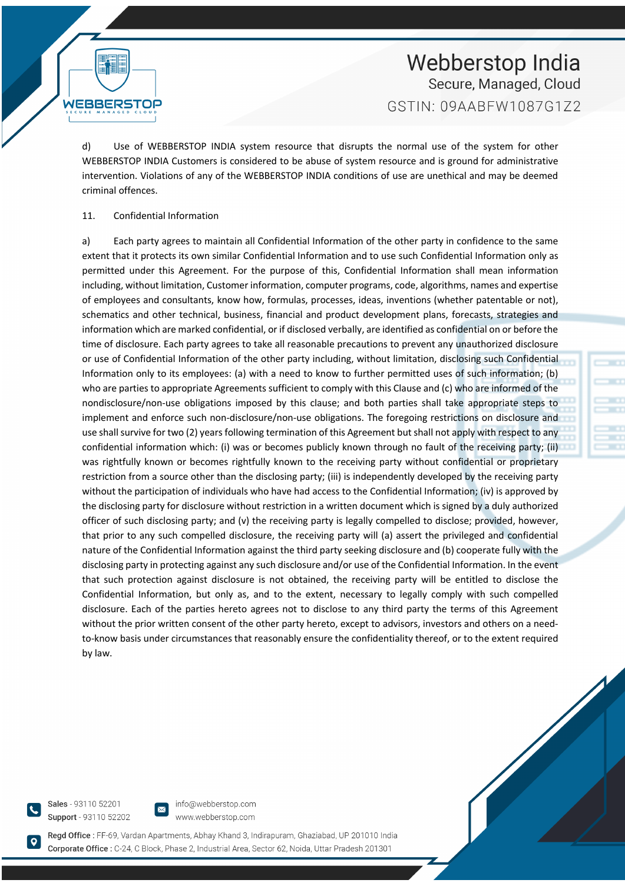d) Use of WEBBERSTOP INDIA system resource that disrupts the normal use of the system for other WEBBERSTOP INDIA Customers is considered to be abuse of system resource and is ground for administrative intervention. Violations of any of the WEBBERSTOP INDIA conditions of use are unethical and may be deemed criminal offences.

#### 11. Confidential Information

WEBBERST

a) Each party agrees to maintain all Confidential Information of the other party in confidence to the same extent that it protects its own similar Confidential Information and to use such Confidential Information only as permitted under this Agreement. For the purpose of this, Confidential Information shall mean information including, without limitation, Customer information, computer programs, code, algorithms, names and expertise of employees and consultants, know how, formulas, processes, ideas, inventions (whether patentable or not), schematics and other technical, business, financial and product development plans, forecasts, strategies and information which are marked confidential, or if disclosed verbally, are identified as confidential on or before the time of disclosure. Each party agrees to take all reasonable precautions to prevent any unauthorized disclosure or use of Confidential Information of the other party including, without limitation, disclosing such Confidential Information only to its employees: (a) with a need to know to further permitted uses of such information; (b) who are parties to appropriate Agreements sufficient to comply with this Clause and (c) who are informed of the nondisclosure/non-use obligations imposed by this clause; and both parties shall take appropriate steps to implement and enforce such non-disclosure/non-use obligations. The foregoing restrictions on disclosure and use shall survive for two (2) years following termination of this Agreement but shall not apply with respect to any confidential information which: (i) was or becomes publicly known through no fault of the receiving party; (ii) was rightfully known or becomes rightfully known to the receiving party without confidential or proprietary restriction from a source other than the disclosing party; (iii) is independently developed by the receiving party without the participation of individuals who have had access to the Confidential Information; (iv) is approved by the disclosing party for disclosure without restriction in a written document which is signed by a duly authorized officer of such disclosing party; and (v) the receiving party is legally compelled to disclose; provided, however, that prior to any such compelled disclosure, the receiving party will (a) assert the privileged and confidential nature of the Confidential Information against the third party seeking disclosure and (b) cooperate fully with the disclosing party in protecting against any such disclosure and/or use of the Confidential Information. In the event that such protection against disclosure is not obtained, the receiving party will be entitled to disclose the Confidential Information, but only as, and to the extent, necessary to legally comply with such compelled disclosure. Each of the parties hereto agrees not to disclose to any third party the terms of this Agreement without the prior written consent of the other party hereto, except to advisors, investors and others on a needto-know basis under circumstances that reasonably ensure the confidentiality thereof, or to the extent required by law.

Sales - 93110 52201 Support - 93110 52202

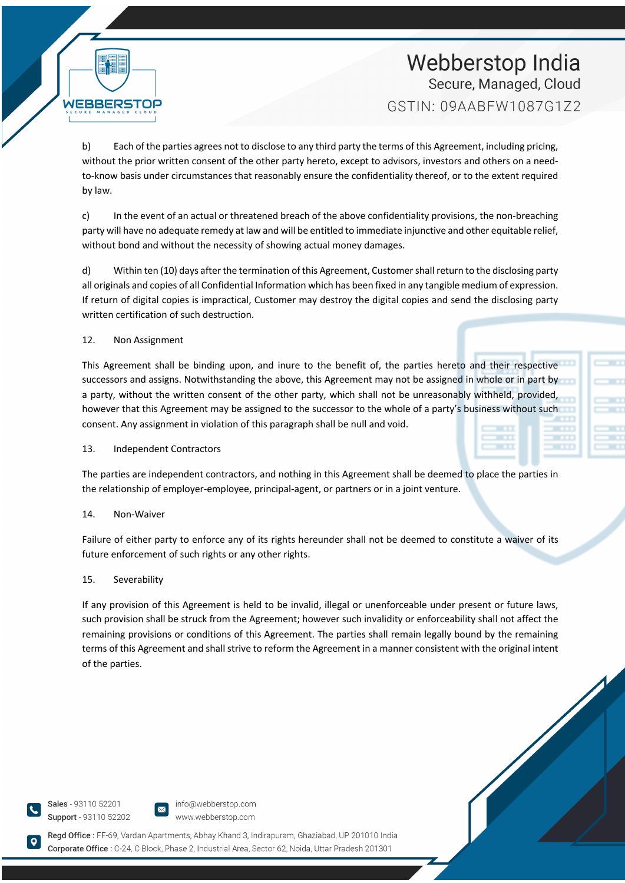b) Each of the parties agrees not to disclose to any third party the terms of this Agreement, including pricing, without the prior written consent of the other party hereto, except to advisors, investors and others on a needto-know basis under circumstances that reasonably ensure the confidentiality thereof, or to the extent required by law.

c) In the event of an actual or threatened breach of the above confidentiality provisions, the non-breaching party will have no adequate remedy at law and will be entitled to immediate injunctive and other equitable relief, without bond and without the necessity of showing actual money damages.

d) Within ten (10) days after the termination of this Agreement, Customer shall return to the disclosing party all originals and copies of all Confidential Information which has been fixed in any tangible medium of expression. If return of digital copies is impractical, Customer may destroy the digital copies and send the disclosing party written certification of such destruction.

12. Non Assignment

WEBBERS

This Agreement shall be binding upon, and inure to the benefit of, the parties hereto and their respective successors and assigns. Notwithstanding the above, this Agreement may not be assigned in whole or in part by a party, without the written consent of the other party, which shall not be unreasonably withheld, provided, however that this Agreement may be assigned to the successor to the whole of a party's business without such consent. Any assignment in violation of this paragraph shall be null and void.

#### 13. Independent Contractors

The parties are independent contractors, and nothing in this Agreement shall be deemed to place the parties in the relationship of employer-employee, principal-agent, or partners or in a joint venture.

#### 14. Non-Waiver

Failure of either party to enforce any of its rights hereunder shall not be deemed to constitute a waiver of its future enforcement of such rights or any other rights.

#### 15. Severability

If any provision of this Agreement is held to be invalid, illegal or unenforceable under present or future laws, such provision shall be struck from the Agreement; however such invalidity or enforceability shall not affect the remaining provisions or conditions of this Agreement. The parties shall remain legally bound by the remaining terms of this Agreement and shall strive to reform the Agreement in a manner consistent with the original intent of the parties.

Sales - 93110 52201 Support - 93110 52202



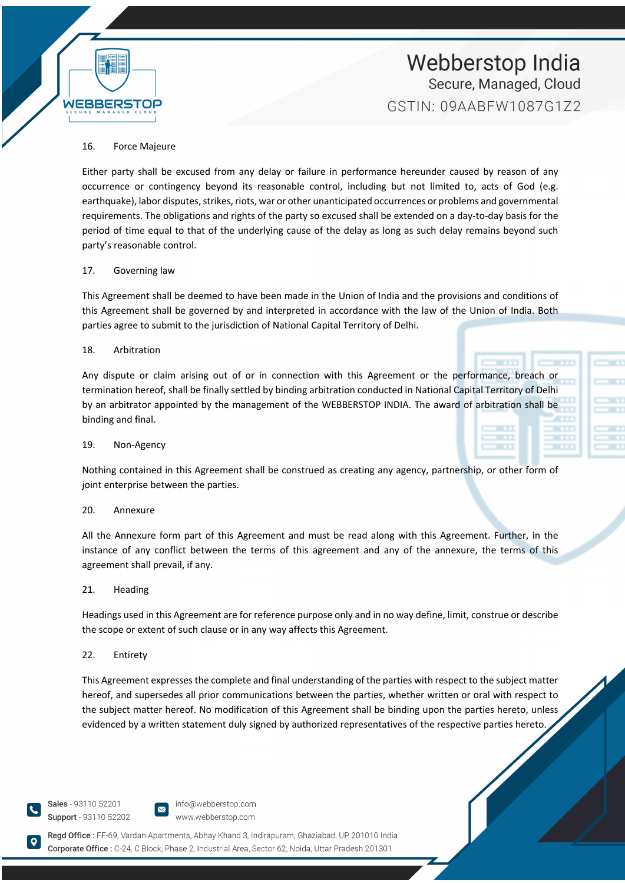

#### 16. Force Majeure

Either party shall be excused from any delay or failure in performance hereunder caused by reason of any occurrence or contingency beyond its reasonable control, including but not limited to, acts of God (e.g. earthquake), labor disputes, strikes, riots, war or other unanticipated occurrences or problems and governmental requirements. The obligations and rights of the party so excused shall be extended on a day-to-day basis for the period of time equal to that of the underlying cause of the delay as long as such delay remains beyond such party's reasonable control.

#### 17. Governing law

This Agreement shall be deemed to have been made in the Union of India and the provisions and conditions of this Agreement shall be governed by and interpreted in accordance with the law of the Union of India. Both parties agree to submit to the jurisdiction of National Capital Territory of Delhi.

#### 18. Arbitration

Any dispute or claim arising out of or in connection with this Agreement or the performance, breach or termination hereof, shall be finally settled by binding arbitration conducted in National Capital Territory of Delhi by an arbitrator appointed by the management of the WEBBERSTOP INDIA. The award of arbitration shall be binding and final.

#### 19. Non-Agency

Nothing contained in this Agreement shall be construed as creating any agency, partnership, or other form of joint enterprise between the parties.

#### 20. Annexure

All the Annexure form part of this Agreement and must be read along with this Agreement. Further, in the instance of any conflict between the terms of this agreement and any of the annexure, the terms of this agreement shall prevail, if any.

#### 21. Heading

Headings used in this Agreement are for reference purpose only and in no way define, limit, construe or describe the scope or extent of such clause or in any way affects this Agreement.

#### 22. Entirety

This Agreement expresses the complete and final understanding of the parties with respect to the subject matter hereof, and supersedes all prior communications between the parties, whether written or oral with respect to the subject matter hereof. No modification of this Agreement shall be binding upon the parties hereto, unless evidenced by a written statement duly signed by authorized representatives of the respective parties hereto.

Sales - 93110 52201 Support - 93110 52202

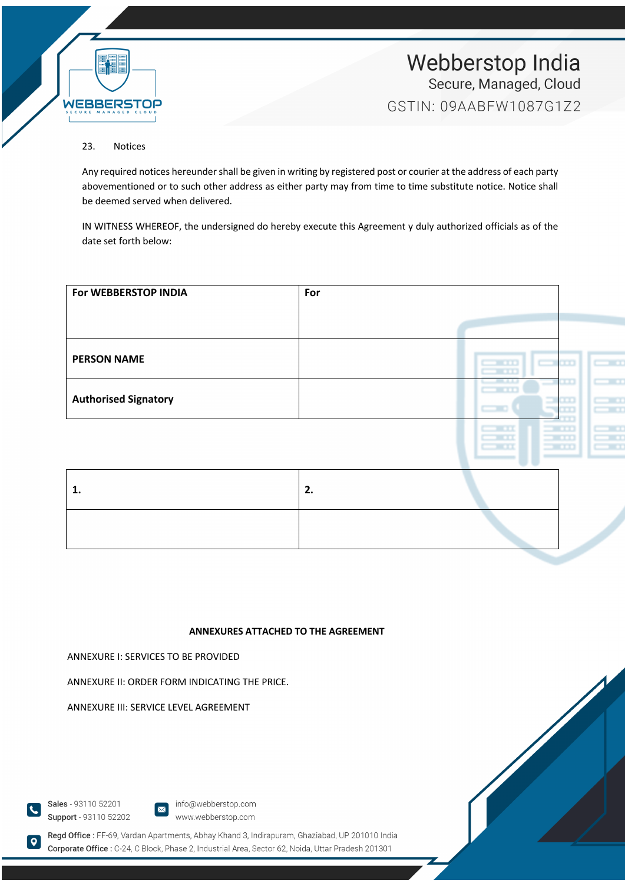

## 23. Notices

Any required notices hereunder shall be given in writing by registered post or courier at the address of each party abovementioned or to such other address as either party may from time to time substitute notice. Notice shall be deemed served when delivered.

IN WITNESS WHEREOF, the undersigned do hereby execute this Agreement y duly authorized officials as of the date set forth below:

| For WEBBERSTOP INDIA        | For |                                                               |                                          |
|-----------------------------|-----|---------------------------------------------------------------|------------------------------------------|
|                             |     |                                                               |                                          |
|                             |     |                                                               |                                          |
| <b>PERSON NAME</b>          |     | $\sim$ $\sim$ $\sim$ $\sim$<br>$\sim$ $\sim$<br>$\sim$ $\sim$ | $\overline{a}$                           |
|                             |     | --<br>$-111$                                                  | $\overline{\phantom{a}}$<br><b>TELES</b> |
| <b>Authorised Signatory</b> |     | $\equiv$ 0.0<br>$\sim$                                        | $\sim$<br>m<br>$\sim$                    |
|                             |     | $-111$<br>$-11$<br>$-111$<br>$-1$                             | $\sim$<br>$\overline{\phantom{a}}$       |
|                             |     | $-111$<br>$-11$                                               | $\sim$                                   |

## **ANNEXURES ATTACHED TO THE AGREEMENT**

ANNEXURE I: SERVICES TO BE PROVIDED

ANNEXURE II: ORDER FORM INDICATING THE PRICE.

ANNEXURE III: SERVICE LEVEL AGREEMENT



**O** 

info@webberstop.com www.webberstop.com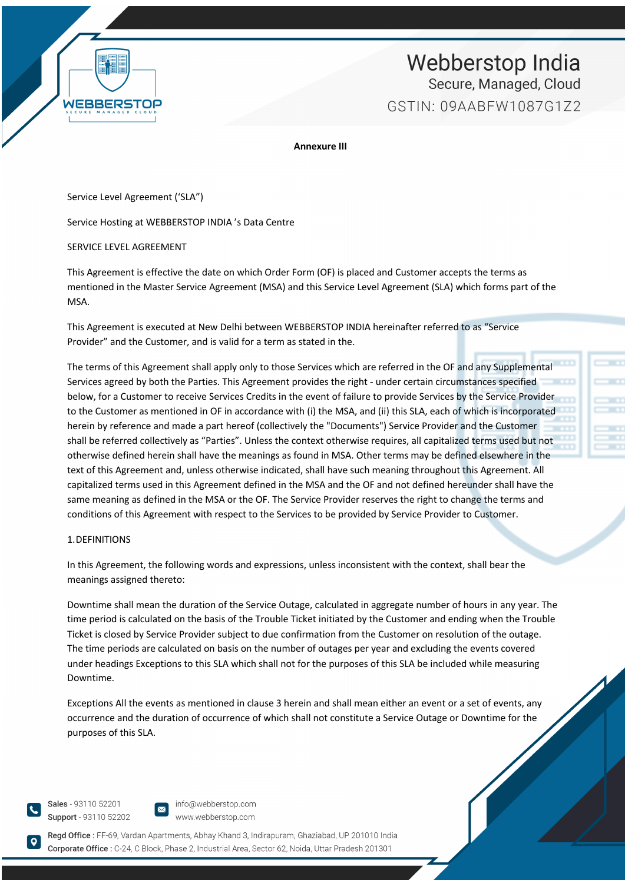

**Annexure III**

Service Level Agreement ('SLA")

Service Hosting at WEBBERSTOP INDIA 's Data Centre

SERVICE LEVEL AGREEMENT

This Agreement is effective the date on which Order Form (OF) is placed and Customer accepts the terms as mentioned in the Master Service Agreement (MSA) and this Service Level Agreement (SLA) which forms part of the MSA.

This Agreement is executed at New Delhi between WEBBERSTOP INDIA hereinafter referred to as "Service Provider" and the Customer, and is valid for a term as stated in the.

The terms of this Agreement shall apply only to those Services which are referred in the OF and any Supplemental Services agreed by both the Parties. This Agreement provides the right - under certain circumstances specified below, for a Customer to receive Services Credits in the event of failure to provide Services by the Service Provider to the Customer as mentioned in OF in accordance with (i) the MSA, and (ii) this SLA, each of which is incorporated herein by reference and made a part hereof (collectively the "Documents") Service Provider and the Customer shall be referred collectively as "Parties". Unless the context otherwise requires, all capitalized terms used but not otherwise defined herein shall have the meanings as found in MSA. Other terms may be defined elsewhere in the text of this Agreement and, unless otherwise indicated, shall have such meaning throughout this Agreement. All capitalized terms used in this Agreement defined in the MSA and the OF and not defined hereunder shall have the same meaning as defined in the MSA or the OF. The Service Provider reserves the right to change the terms and conditions of this Agreement with respect to the Services to be provided by Service Provider to Customer.

#### 1.DEFINITIONS

In this Agreement, the following words and expressions, unless inconsistent with the context, shall bear the meanings assigned thereto:

Downtime shall mean the duration of the Service Outage, calculated in aggregate number of hours in any year. The time period is calculated on the basis of the Trouble Ticket initiated by the Customer and ending when the Trouble Ticket is closed by Service Provider subject to due confirmation from the Customer on resolution of the outage. The time periods are calculated on basis on the number of outages per year and excluding the events covered under headings Exceptions to this SLA which shall not for the purposes of this SLA be included while measuring Downtime.

Exceptions All the events as mentioned in clause 3 herein and shall mean either an event or a set of events, any occurrence and the duration of occurrence of which shall not constitute a Service Outage or Downtime for the purposes of this SLA.

Sales - 93110 52201 Support - 93110 52202

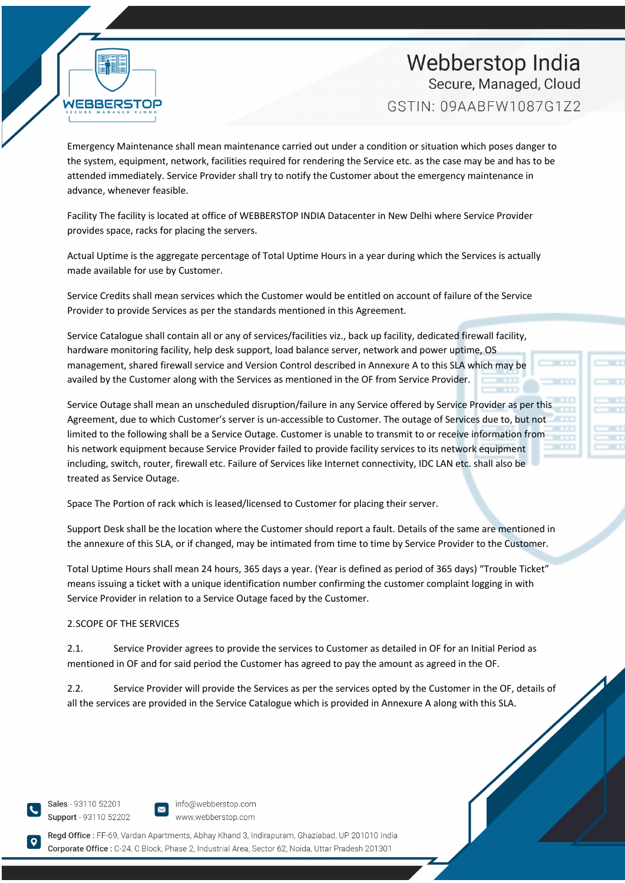**WEBBER** 

Emergency Maintenance shall mean maintenance carried out under a condition or situation which poses danger to the system, equipment, network, facilities required for rendering the Service etc. as the case may be and has to be attended immediately. Service Provider shall try to notify the Customer about the emergency maintenance in advance, whenever feasible.

Facility The facility is located at office of WEBBERSTOP INDIA Datacenter in New Delhi where Service Provider provides space, racks for placing the servers.

Actual Uptime is the aggregate percentage of Total Uptime Hours in a year during which the Services is actually made available for use by Customer.

Service Credits shall mean services which the Customer would be entitled on account of failure of the Service Provider to provide Services as per the standards mentioned in this Agreement.

Service Catalogue shall contain all or any of services/facilities viz., back up facility, dedicated firewall facility, hardware monitoring facility, help desk support, load balance server, network and power uptime, OS management, shared firewall service and Version Control described in Annexure A to this SLA which may be availed by the Customer along with the Services as mentioned in the OF from Service Provider.

Service Outage shall mean an unscheduled disruption/failure in any Service offered by Service Provider as per this Agreement, due to which Customer's server is un-accessible to Customer. The outage of Services due to, but not limited to the following shall be a Service Outage. Customer is unable to transmit to or receive information from his network equipment because Service Provider failed to provide facility services to its network equipment including, switch, router, firewall etc. Failure of Services like Internet connectivity, IDC LAN etc. shall also be treated as Service Outage.

Space The Portion of rack which is leased/licensed to Customer for placing their server.

Support Desk shall be the location where the Customer should report a fault. Details of the same are mentioned in the annexure of this SLA, or if changed, may be intimated from time to time by Service Provider to the Customer.

Total Uptime Hours shall mean 24 hours, 365 days a year. (Year is defined as period of 365 days) "Trouble Ticket" means issuing a ticket with a unique identification number confirming the customer complaint logging in with Service Provider in relation to a Service Outage faced by the Customer.

#### 2.SCOPE OF THE SERVICES

2.1. Service Provider agrees to provide the services to Customer as detailed in OF for an Initial Period as mentioned in OF and for said period the Customer has agreed to pay the amount as agreed in the OF.

2.2. Service Provider will provide the Services as per the services opted by the Customer in the OF, details of all the services are provided in the Service Catalogue which is provided in Annexure A along with this SLA.

Sales - 93110 52201 Support - 93110 52202

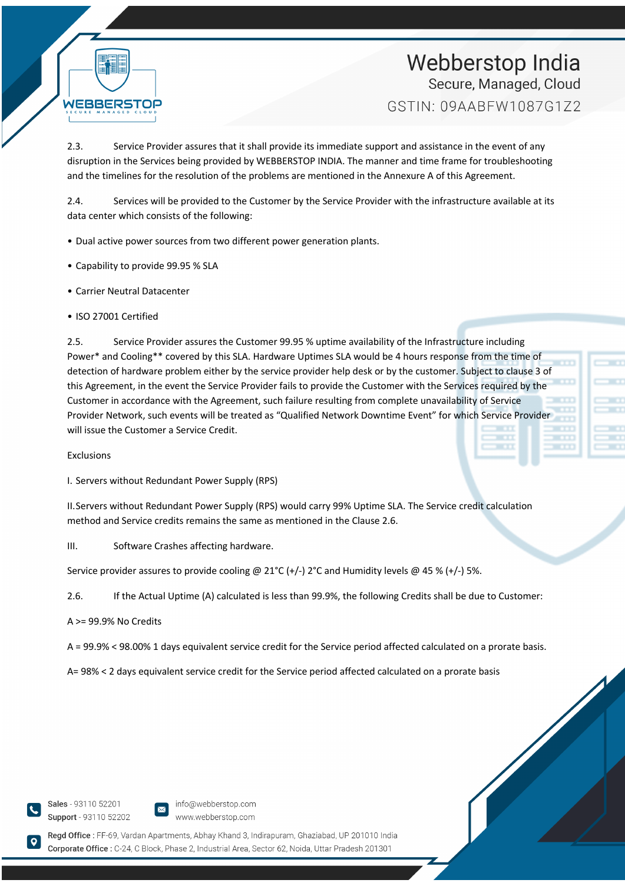

2.3. Service Provider assures that it shall provide its immediate support and assistance in the event of any disruption in the Services being provided by WEBBERSTOP INDIA. The manner and time frame for troubleshooting and the timelines for the resolution of the problems are mentioned in the Annexure A of this Agreement.

2.4. Services will be provided to the Customer by the Service Provider with the infrastructure available at its data center which consists of the following:

- Dual active power sources from two different power generation plants.
- Capability to provide 99.95 % SLA
- Carrier Neutral Datacenter
- ISO 27001 Certified

2.5. Service Provider assures the Customer 99.95 % uptime availability of the Infrastructure including Power\* and Cooling\*\* covered by this SLA. Hardware Uptimes SLA would be 4 hours response from the time of detection of hardware problem either by the service provider help desk or by the customer. Subject to clause 3 of this Agreement, in the event the Service Provider fails to provide the Customer with the Services required by the Customer in accordance with the Agreement, such failure resulting from complete unavailability of Service Provider Network, such events will be treated as "Qualified Network Downtime Event" for which Service Provider will issue the Customer a Service Credit.

Exclusions

I. Servers without Redundant Power Supply (RPS)

II.Servers without Redundant Power Supply (RPS) would carry 99% Uptime SLA. The Service credit calculation method and Service credits remains the same as mentioned in the Clause 2.6.

III. Software Crashes affecting hardware.

Service provider assures to provide cooling @ 21°C (+/-) 2°C and Humidity levels @ 45 % (+/-) 5%.

2.6. If the Actual Uptime (A) calculated is less than 99.9%, the following Credits shall be due to Customer:

#### A >= 99.9% No Credits

A = 99.9% < 98.00% 1 days equivalent service credit for the Service period affected calculated on a prorate basis.

A= 98% < 2 days equivalent service credit for the Service period affected calculated on a prorate basis

Sales - 93110 52201 Support - 93110 52202

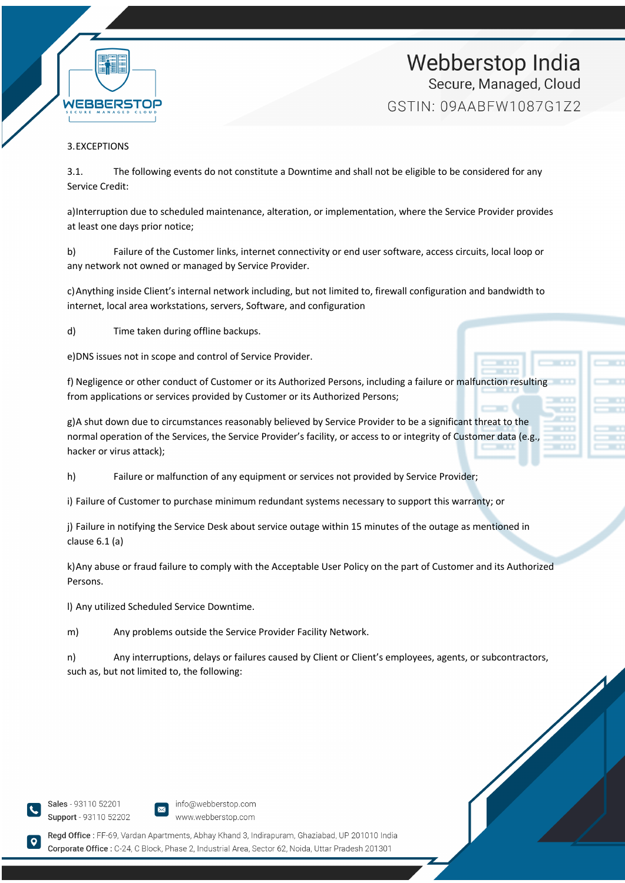

## 3.EXCEPTIONS

3.1. The following events do not constitute a Downtime and shall not be eligible to be considered for any Service Credit:

a)Interruption due to scheduled maintenance, alteration, or implementation, where the Service Provider provides at least one days prior notice;

b) Failure of the Customer links, internet connectivity or end user software, access circuits, local loop or any network not owned or managed by Service Provider.

c)Anything inside Client's internal network including, but not limited to, firewall configuration and bandwidth to internet, local area workstations, servers, Software, and configuration

d) Time taken during offline backups.

e)DNS issues not in scope and control of Service Provider.

f) Negligence or other conduct of Customer or its Authorized Persons, including a failure or malfunction resulting from applications or services provided by Customer or its Authorized Persons;

g)A shut down due to circumstances reasonably believed by Service Provider to be a significant threat to the normal operation of the Services, the Service Provider's facility, or access to or integrity of Customer data (e.g., hacker or virus attack);

h) Failure or malfunction of any equipment or services not provided by Service Provider;

i) Failure of Customer to purchase minimum redundant systems necessary to support this warranty; or

j) Failure in notifying the Service Desk about service outage within 15 minutes of the outage as mentioned in clause 6.1 (a)

k)Any abuse or fraud failure to comply with the Acceptable User Policy on the part of Customer and its Authorized Persons.

l) Any utilized Scheduled Service Downtime.

m) Any problems outside the Service Provider Facility Network.

n) Any interruptions, delays or failures caused by Client or Client's employees, agents, or subcontractors, such as, but not limited to, the following:

Sales - 93110 52201 Support - 93110 52202

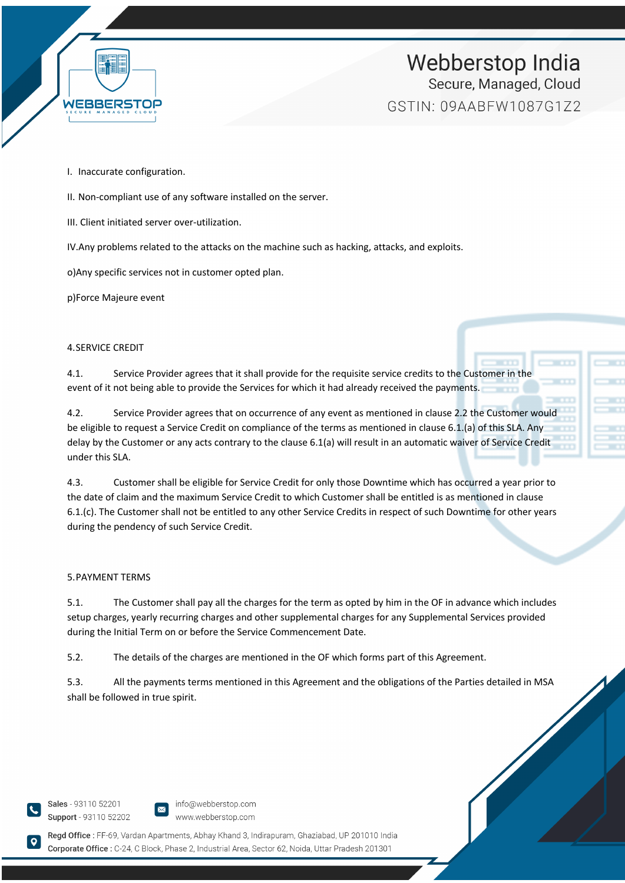

- I. Inaccurate configuration.
- II. Non-compliant use of any software installed on the server.
- III. Client initiated server over-utilization.
- IV.Any problems related to the attacks on the machine such as hacking, attacks, and exploits.

o)Any specific services not in customer opted plan.

p)Force Majeure event

#### 4.SERVICE CREDIT

4.1. Service Provider agrees that it shall provide for the requisite service credits to the Customer in the event of it not being able to provide the Services for which it had already received the payments.

4.2. Service Provider agrees that on occurrence of any event as mentioned in clause 2.2 the Customer would be eligible to request a Service Credit on compliance of the terms as mentioned in clause 6.1.(a) of this SLA. Any delay by the Customer or any acts contrary to the clause 6.1(a) will result in an automatic waiver of Service Credit under this SLA.

4.3. Customer shall be eligible for Service Credit for only those Downtime which has occurred a year prior to the date of claim and the maximum Service Credit to which Customer shall be entitled is as mentioned in clause 6.1.(c). The Customer shall not be entitled to any other Service Credits in respect of such Downtime for other years during the pendency of such Service Credit.

#### 5.PAYMENT TERMS

5.1. The Customer shall pay all the charges for the term as opted by him in the OF in advance which includes setup charges, yearly recurring charges and other supplemental charges for any Supplemental Services provided during the Initial Term on or before the Service Commencement Date.

5.2. The details of the charges are mentioned in the OF which forms part of this Agreement.

5.3. All the payments terms mentioned in this Agreement and the obligations of the Parties detailed in MSA shall be followed in true spirit.

Sales - 93110 52201 Support - 93110 52202

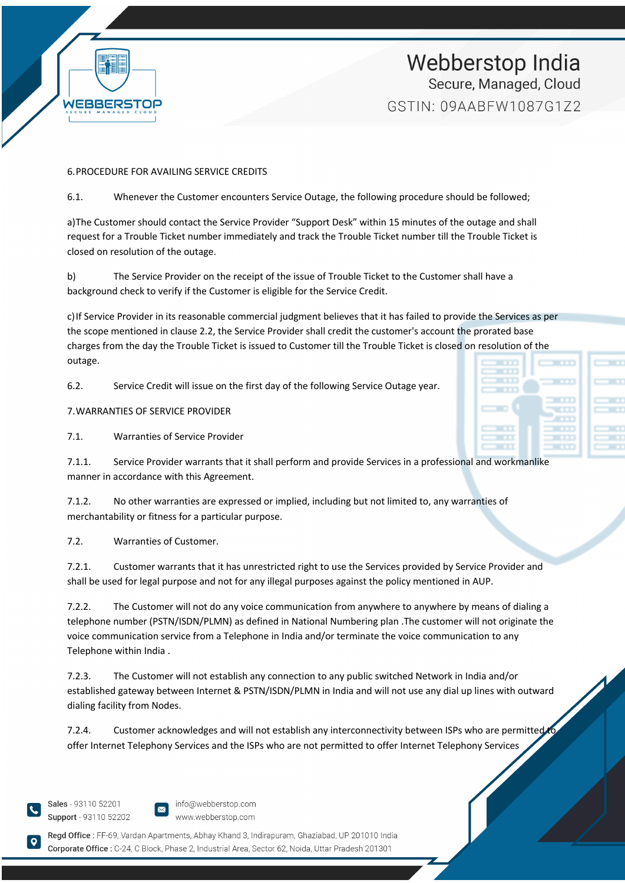

### 6.PROCEDURE FOR AVAILING SERVICE CREDITS

6.1. Whenever the Customer encounters Service Outage, the following procedure should be followed;

a)The Customer should contact the Service Provider "Support Desk" within 15 minutes of the outage and shall request for a Trouble Ticket number immediately and track the Trouble Ticket number till the Trouble Ticket is closed on resolution of the outage.

b) The Service Provider on the receipt of the issue of Trouble Ticket to the Customer shall have a background check to verify if the Customer is eligible for the Service Credit.

c)If Service Provider in its reasonable commercial judgment believes that it has failed to provide the Services as per the scope mentioned in clause 2.2, the Service Provider shall credit the customer's account the prorated base charges from the day the Trouble Ticket is issued to Customer till the Trouble Ticket is closed on resolution of the outage.

6.2. Service Credit will issue on the first day of the following Service Outage year.

7.WARRANTIES OF SERVICE PROVIDER

7.1. Warranties of Service Provider

7.1.1. Service Provider warrants that it shall perform and provide Services in a professional and workmanlike manner in accordance with this Agreement.

7.1.2. No other warranties are expressed or implied, including but not limited to, any warranties of merchantability or fitness for a particular purpose.

7.2. Warranties of Customer.

7.2.1. Customer warrants that it has unrestricted right to use the Services provided by Service Provider and shall be used for legal purpose and not for any illegal purposes against the policy mentioned in AUP.

7.2.2. The Customer will not do any voice communication from anywhere to anywhere by means of dialing a telephone number (PSTN/ISDN/PLMN) as defined in National Numbering plan .The customer will not originate the voice communication service from a Telephone in India and/or terminate the voice communication to any Telephone within India .

7.2.3. The Customer will not establish any connection to any public switched Network in India and/or established gateway between Internet & PSTN/ISDN/PLMN in India and will not use any dial up lines with outward dialing facility from Nodes.

7.2.4. Customer acknowledges and will not establish any interconnectivity between ISPs who are permitted to offer Internet Telephony Services and the ISPs who are not permitted to offer Internet Telephony Services

Sales - 93110 52201 Support - 93110 52202